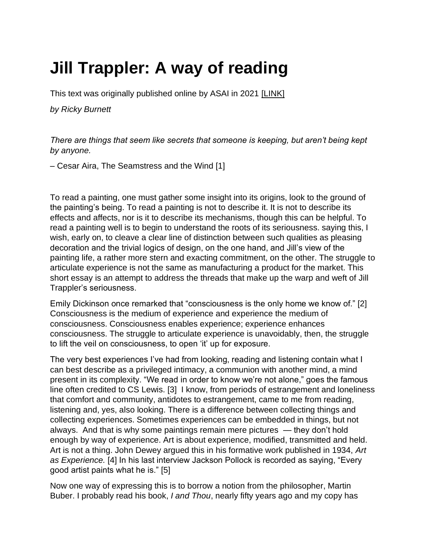## **Jill Trappler: A way of reading**

This text was originally published online by ASAI in 2021 [\[LINK\]](https://asai.co.za/jill-trappler-a-way-of-reading/)

*by Ricky Burnett*

*There are things that seem like secrets that someone is keeping, but aren't being kept by anyone.*

– Cesar Aira, The Seamstress and the Wind [1]

To read a painting, one must gather some insight into its origins, look to the ground of the painting's being. To read a painting is not to describe it. It is not to describe its effects and affects, nor is it to describe its mechanisms, though this can be helpful. To read a painting well is to begin to understand the roots of its seriousness. saying this, I wish, early on, to cleave a clear line of distinction between such qualities as pleasing decoration and the trivial logics of design, on the one hand, and Jill's view of the painting life, a rather more stern and exacting commitment, on the other. The struggle to articulate experience is not the same as manufacturing a product for the market. This short essay is an attempt to address the threads that make up the warp and weft of Jill Trappler's seriousness.

Emily Dickinson once remarked that "consciousness is the only home we know of." [2] Consciousness is the medium of experience and experience the medium of consciousness. Consciousness enables experience; experience enhances consciousness. The struggle to articulate experience is unavoidably, then, the struggle to lift the veil on consciousness, to open 'it' up for exposure.

The very best experiences I've had from looking, reading and listening contain what I can best describe as a privileged intimacy, a communion with another mind, a mind present in its complexity. "We read in order to know we're not alone," goes the famous line often credited to CS Lewis. [3] I know, from periods of estrangement and loneliness that comfort and community, antidotes to estrangement, came to me from reading, listening and, yes, also looking. There is a difference between collecting things and collecting experiences. Sometimes experiences can be embedded in things, but not always. And that is why some paintings remain mere pictures — they don't hold enough by way of experience. Art is about experience, modified, transmitted and held. Art is not a thing. John Dewey argued this in his formative work published in 1934, *Art as Experience.* [4] In his last interview Jackson Pollock is recorded as saying, "Every good artist paints what he is." [5]

Now one way of expressing this is to borrow a notion from the philosopher, Martin Buber. I probably read his book, *I and Thou*, nearly fifty years ago and my copy has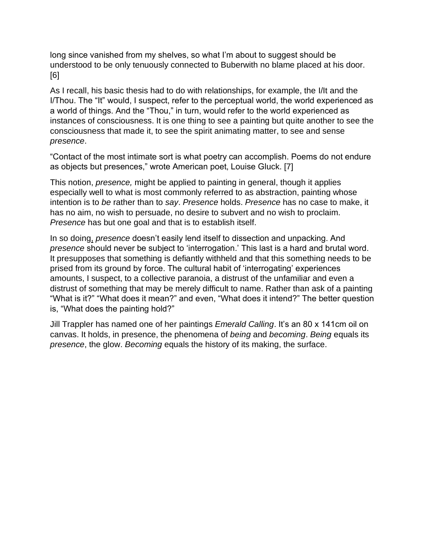long since vanished from my shelves, so what I'm about to suggest should be understood to be only tenuously connected to Buberwith no blame placed at his door. [6]

As I recall, his basic thesis had to do with relationships, for example, the I/It and the I/Thou. The "It" would, I suspect, refer to the perceptual world, the world experienced as a world of things. And the "Thou," in turn, would refer to the world experienced as instances of consciousness. It is one thing to see a painting but quite another to see the consciousness that made it, to see the spirit animating matter, to see and sense *presence*.

"Contact of the most intimate sort is what poetry can accomplish. Poems do not endure as objects but presences," wrote American poet, Louise Gluck. [7]

This notion, *presence,* might be applied to painting in general, though it applies especially well to what is most commonly referred to as abstraction, painting whose intention is to *be* rather than to *say*. *Presence* holds. *Presence* has no case to make, it has no aim, no wish to persuade, no desire to subvert and no wish to proclaim. *Presence* has but one goal and that is to establish itself.

In so doing, *presence* doesn't easily lend itself to dissection and unpacking. And *presence* should never be subject to 'interrogation.' This last is a hard and brutal word. It presupposes that something is defiantly withheld and that this something needs to be prised from its ground by force. The cultural habit of 'interrogating' experiences amounts, I suspect, to a collective paranoia, a distrust of the unfamiliar and even a distrust of something that may be merely difficult to name. Rather than ask of a painting "What is it?" "What does it mean?" and even, "What does it intend?" The better question is, "What does the painting hold?"

Jill Trappler has named one of her paintings *Emerald Calling*. It's an 80 x 141cm oil on canvas. It holds, in presence, the phenomena of *being* and *becoming*. *Being* equals its *presence*, the glow. *Becoming* equals the history of its making, the surface.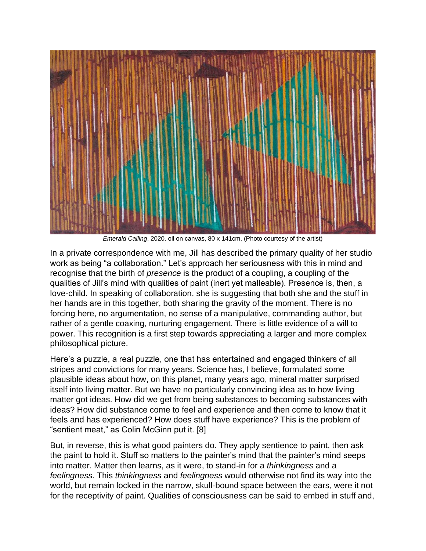

*Emerald Calling*, 2020. oil on canvas, 80 x 141cm, (Photo courtesy of the artist)

In a private correspondence with me, Jill has described the primary quality of her studio work as being "a collaboration." Let's approach her seriousness with this in mind and recognise that the birth of *presence* is the product of a coupling, a coupling of the qualities of Jill's mind with qualities of paint (inert yet malleable). Presence is, then, a love-child. In speaking of collaboration, she is suggesting that both she and the stuff in her hands are in this together, both sharing the gravity of the moment. There is no forcing here, no argumentation, no sense of a manipulative, commanding author, but rather of a gentle coaxing, nurturing engagement. There is little evidence of a will to power. This recognition is a first step towards appreciating a larger and more complex philosophical picture.

Here's a puzzle, a real puzzle, one that has entertained and engaged thinkers of all stripes and convictions for many years. Science has, I believe, formulated some plausible ideas about how, on this planet, many years ago, mineral matter surprised itself into living matter. But we have no particularly convincing idea as to how living matter got ideas. How did we get from being substances to becoming substances with ideas? How did substance come to feel and experience and then come to know that it feels and has experienced? How does stuff have experience? This is the problem of "sentient meat," as Colin McGinn put it. [8]

But, in reverse, this is what good painters do. They apply sentience to paint, then ask the paint to hold it. Stuff so matters to the painter's mind that the painter's mind seeps into matter. Matter then learns, as it were, to stand-in for a *thinkingness* and a *feelingness*. This *thinkingness* and *feelingness* would otherwise not find its way into the world, but remain locked in the narrow, skull-bound space between the ears, were it not for the receptivity of paint. Qualities of consciousness can be said to embed in stuff and,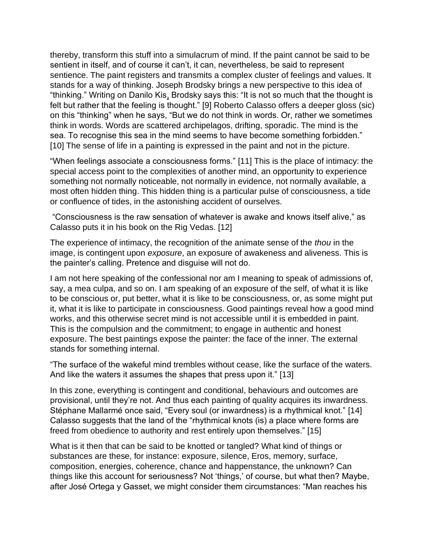thereby, transform this stuff into a simulacrum of mind. If the paint cannot be said to be sentient in itself, and of course it can't, it can, nevertheless, be said to represent sentience. The paint registers and transmits a complex cluster of feelings and values. It stands for a way of thinking. Joseph Brodsky brings a new perspective to this idea of "thinking." Writing on Danilo Kis, Brodsky says this: "It is not so much that the thought is felt but rather that the feeling is thought." [9] Roberto Calasso offers a deeper gloss (sic) on this "thinking" when he says, "But we do not think in words. Or, rather we sometimes think in words. Words are scattered archipelagos, drifting, sporadic. The mind is the sea. To recognise this sea in the mind seems to have become something forbidden." [10] The sense of life in a painting is expressed in the paint and not in the picture.

"When feelings associate a consciousness forms." [11] This is the place of intimacy: the special access point to the complexities of another mind, an opportunity to experience something not normally noticeable, not normally in evidence, not normally available, a most often hidden thing. This hidden thing is a particular pulse of consciousness, a tide or confluence of tides, in the astonishing accident of ourselves.

"Consciousness is the raw sensation of whatever is awake and knows itself alive," as Calasso puts it in his book on the Rig Vedas. [12]

The experience of intimacy, the recognition of the animate sense of the *thou* in the image, is contingent upon *exposure*, an exposure of awakeness and aliveness. This is the painter's calling. Pretence and disguise will not do.

I am not here speaking of the confessional nor am I meaning to speak of admissions of, say, a mea culpa, and so on. I am speaking of an exposure of the self, of what it is like to be conscious or, put better, what it is like to be consciousness, or, as some might put it, what it is like to participate in consciousness. Good paintings reveal how a good mind works, and this otherwise secret mind is not accessible until it is embedded in paint. This is the compulsion and the commitment; to engage in authentic and honest exposure. The best paintings expose the painter: the face of the inner. The external stands for something internal.

"The surface of the wakeful mind trembles without cease, like the surface of the waters. And like the waters it assumes the shapes that press upon it." [13]

In this zone, everything is contingent and conditional, behaviours and outcomes are provisional, until they're not. And thus each painting of quality acquires its inwardness. Stéphane Mallarmé once said, "Every soul (or inwardness) is a rhythmical knot." [14] Calasso suggests that the land of the "rhythmical knots (is) a place where forms are freed from obedience to authority and rest entirely upon themselves." [15]

What is it then that can be said to be knotted or tangled? What kind of things or substances are these, for instance: exposure, silence, Eros, memory, surface, composition, energies, coherence, chance and happenstance, the unknown? Can things like this account for seriousness? Not 'things,' of course, but what then? Maybe, after José Ortega y Gasset, we might consider them circumstances: "Man reaches his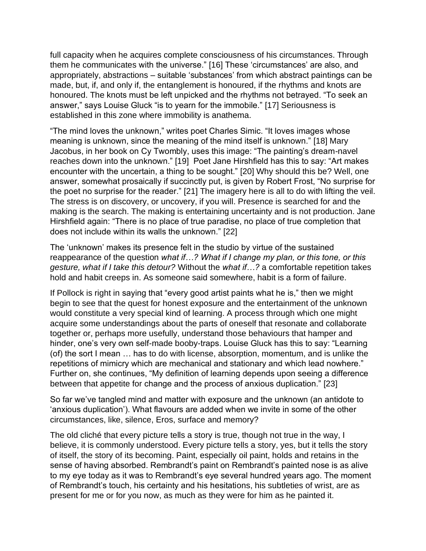full capacity when he acquires complete consciousness of his circumstances. Through them he communicates with the universe." [16] These 'circumstances' are also, and appropriately, abstractions – suitable 'substances' from which abstract paintings can be made, but, if, and only if, the entanglement is honoured, if the rhythms and knots are honoured. The knots must be left unpicked and the rhythms not betrayed. "To seek an answer," says Louise Gluck "is to yearn for the immobile." [17] Seriousness is established in this zone where immobility is anathema.

"The mind loves the unknown," writes poet Charles Simic. "It loves images whose meaning is unknown, since the meaning of the mind itself is unknown." [18] Mary Jacobus, in her book on Cy Twombly, uses this image: "The painting's dream-navel reaches down into the unknown." [19] Poet Jane Hirshfield has this to say: "Art makes encounter with the uncertain, a thing to be sought." [20] Why should this be? Well, one answer, somewhat prosaically if succinctly put, is given by Robert Frost, "No surprise for the poet no surprise for the reader." [21] The imagery here is all to do with lifting the veil. The stress is on discovery, or uncovery, if you will. Presence is searched for and the making is the search. The making is entertaining uncertainty and is not production. Jane Hirshfield again: "There is no place of true paradise, no place of true completion that does not include within its walls the unknown." [22]

The 'unknown' makes its presence felt in the studio by virtue of the sustained reappearance of the question *what if…? What if I change my plan, or this tone, or this gesture, what if I take this detour?* Without the *what if…?* a comfortable repetition takes hold and habit creeps in. As someone said somewhere, habit is a form of failure.

If Pollock is right in saying that "every good artist paints what he is," then we might begin to see that the quest for honest exposure and the entertainment of the unknown would constitute a very special kind of learning. A process through which one might acquire some understandings about the parts of oneself that resonate and collaborate together or, perhaps more usefully, understand those behaviours that hamper and hinder, one's very own self-made booby-traps. Louise Gluck has this to say: "Learning (of) the sort I mean … has to do with license, absorption, momentum, and is unlike the repetitions of mimicry which are mechanical and stationary and which lead nowhere." Further on, she continues, "My definition of learning depends upon seeing a difference between that appetite for change and the process of anxious duplication." [23]

So far we've tangled mind and matter with exposure and the unknown (an antidote to 'anxious duplication'). What flavours are added when we invite in some of the other circumstances, like, silence, Eros, surface and memory?

The old cliché that every picture tells a story is true, though not true in the way, I believe, it is commonly understood. Every picture tells a story, yes, but it tells the story of itself, the story of its becoming. Paint, especially oil paint, holds and retains in the sense of having absorbed. Rembrandt's paint on Rembrandt's painted nose is as alive to my eye today as it was to Rembrandt's eye several hundred years ago. The moment of Rembrandt's touch, his certainty and his hesitations, his subtleties of wrist, are as present for me or for you now, as much as they were for him as he painted it.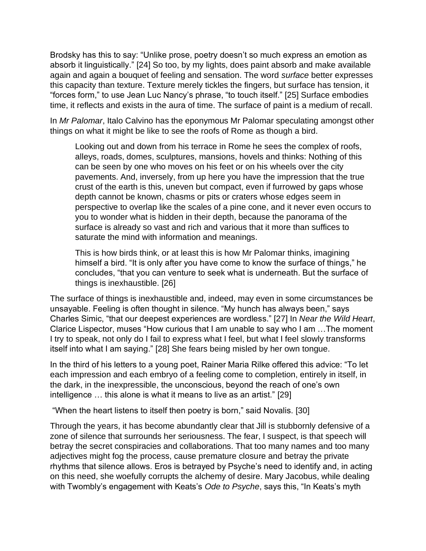Brodsky has this to say: "Unlike prose, poetry doesn't so much express an emotion as absorb it linguistically." [24] So too, by my lights, does paint absorb and make available again and again a bouquet of feeling and sensation. The word *surface* better expresses this capacity than texture. Texture merely tickles the fingers, but surface has tension, it "forces form," to use Jean Luc Nancy's phrase, "to touch itself." [25] Surface embodies time, it reflects and exists in the aura of time. The surface of paint is a medium of recall.

In *Mr Palomar*, Italo Calvino has the eponymous Mr Palomar speculating amongst other things on what it might be like to see the roofs of Rome as though a bird.

Looking out and down from his terrace in Rome he sees the complex of roofs, alleys, roads, domes, sculptures, mansions, hovels and thinks: Nothing of this can be seen by one who moves on his feet or on his wheels over the city pavements. And, inversely, from up here you have the impression that the true crust of the earth is this, uneven but compact, even if furrowed by gaps whose depth cannot be known, chasms or pits or craters whose edges seem in perspective to overlap like the scales of a pine cone, and it never even occurs to you to wonder what is hidden in their depth, because the panorama of the surface is already so vast and rich and various that it more than suffices to saturate the mind with information and meanings.

This is how birds think, or at least this is how Mr Palomar thinks, imagining himself a bird. "It is only after you have come to know the surface of things," he concludes, "that you can venture to seek what is underneath. But the surface of things is inexhaustible. [26]

The surface of things is inexhaustible and, indeed, may even in some circumstances be unsayable. Feeling is often thought in silence. "My hunch has always been," says Charles Simic, "that our deepest experiences are wordless." [27] In *Near the Wild Heart*, Clarice Lispector, muses "How curious that I am unable to say who I am …The moment I try to speak, not only do I fail to express what I feel, but what I feel slowly transforms itself into what I am saying." [28] She fears being misled by her own tongue.

In the third of his letters to a young poet, Rainer Maria Rilke offered this advice: "To let each impression and each embryo of a feeling come to completion, entirely in itself, in the dark, in the inexpressible, the unconscious, beyond the reach of one's own intelligence … this alone is what it means to live as an artist." [29]

"When the heart listens to itself then poetry is born," said Novalis. [30]

Through the years, it has become abundantly clear that Jill is stubbornly defensive of a zone of silence that surrounds her seriousness. The fear, I suspect, is that speech will betray the secret conspiracies and collaborations. That too many names and too many adjectives might fog the process, cause premature closure and betray the private rhythms that silence allows. Eros is betrayed by Psyche's need to identify and, in acting on this need, she woefully corrupts the alchemy of desire. Mary Jacobus, while dealing with Twombly's engagement with Keats's *Ode to Psyche*, says this, "In Keats's myth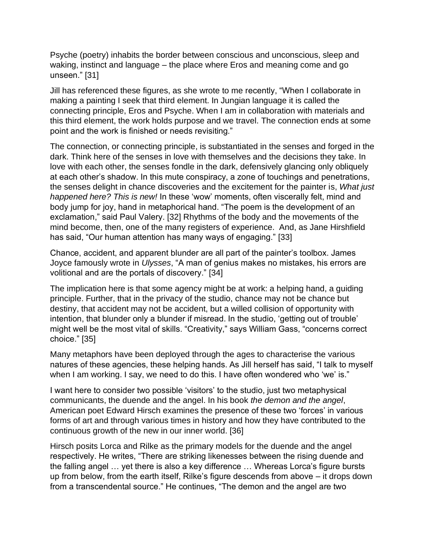Psyche (poetry) inhabits the border between conscious and unconscious, sleep and waking, instinct and language – the place where Eros and meaning come and go unseen." [31]

Jill has referenced these figures, as she wrote to me recently, "When I collaborate in making a painting I seek that third element. In Jungian language it is called the connecting principle, Eros and Psyche. When I am in collaboration with materials and this third element, the work holds purpose and we travel. The connection ends at some point and the work is finished or needs revisiting."

The connection, or connecting principle, is substantiated in the senses and forged in the dark. Think here of the senses in love with themselves and the decisions they take. In love with each other, the senses fondle in the dark, defensively glancing only obliquely at each other's shadow. In this mute conspiracy, a zone of touchings and penetrations, the senses delight in chance discoveries and the excitement for the painter is, *What just happened here? This is new!* In these 'wow' moments, often viscerally felt, mind and body jump for joy, hand in metaphorical hand. "The poem is the development of an exclamation," said Paul Valery. [32] Rhythms of the body and the movements of the mind become, then, one of the many registers of experience. And, as Jane Hirshfield has said, "Our human attention has many ways of engaging." [33]

Chance, accident, and apparent blunder are all part of the painter's toolbox. James Joyce famously wrote in *Ulysses*, "A man of genius makes no mistakes, his errors are volitional and are the portals of discovery." [34]

The implication here is that some agency might be at work: a helping hand, a guiding principle. Further, that in the privacy of the studio, chance may not be chance but destiny, that accident may not be accident, but a willed collision of opportunity with intention, that blunder only a blunder if misread. In the studio, 'getting out of trouble' might well be the most vital of skills. "Creativity," says William Gass, "concerns correct choice." [35]

Many metaphors have been deployed through the ages to characterise the various natures of these agencies, these helping hands. As Jill herself has said, "I talk to myself when I am working. I say, we need to do this. I have often wondered who 'we' is."

I want here to consider two possible 'visitors' to the studio, just two metaphysical communicants, the duende and the angel. In his book *the demon and the angel*, American poet Edward Hirsch examines the presence of these two 'forces' in various forms of art and through various times in history and how they have contributed to the continuous growth of the new in our inner world. [36]

Hirsch posits Lorca and Rilke as the primary models for the duende and the angel respectively. He writes, "There are striking likenesses between the rising duende and the falling angel … yet there is also a key difference … Whereas Lorca's figure bursts up from below, from the earth itself, Rilke's figure descends from above – it drops down from a transcendental source." He continues, "The demon and the angel are two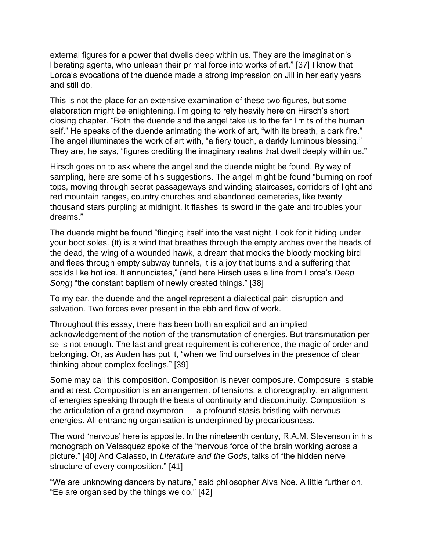external figures for a power that dwells deep within us. They are the imagination's liberating agents, who unleash their primal force into works of art." [37] I know that Lorca's evocations of the duende made a strong impression on Jill in her early years and still do.

This is not the place for an extensive examination of these two figures, but some elaboration might be enlightening. I'm going to rely heavily here on Hirsch's short closing chapter. "Both the duende and the angel take us to the far limits of the human self." He speaks of the duende animating the work of art, "with its breath, a dark fire." The angel illuminates the work of art with, "a fiery touch, a darkly luminous blessing." They are, he says, "figures crediting the imaginary realms that dwell deeply within us."

Hirsch goes on to ask where the angel and the duende might be found. By way of sampling, here are some of his suggestions. The angel might be found "burning on roof tops, moving through secret passageways and winding staircases, corridors of light and red mountain ranges, country churches and abandoned cemeteries, like twenty thousand stars purpling at midnight. It flashes its sword in the gate and troubles your dreams."

The duende might be found "flinging itself into the vast night. Look for it hiding under your boot soles. (It) is a wind that breathes through the empty arches over the heads of the dead, the wing of a wounded hawk, a dream that mocks the bloody mocking bird and flees through empty subway tunnels, it is a joy that burns and a suffering that scalds like hot ice. It annunciates," (and here Hirsch uses a line from Lorca's *Deep Song*) "the constant baptism of newly created things." [38]

To my ear, the duende and the angel represent a dialectical pair: disruption and salvation. Two forces ever present in the ebb and flow of work.

Throughout this essay, there has been both an explicit and an implied acknowledgement of the notion of the transmutation of energies. But transmutation per se is not enough. The last and great requirement is coherence, the magic of order and belonging. Or, as Auden has put it, "when we find ourselves in the presence of clear thinking about complex feelings." [39]

Some may call this composition. Composition is never composure. Composure is stable and at rest. Composition is an arrangement of tensions, a choreography, an alignment of energies speaking through the beats of continuity and discontinuity. Composition is the articulation of a grand oxymoron — a profound stasis bristling with nervous energies. All entrancing organisation is underpinned by precariousness.

The word 'nervous' here is apposite. In the nineteenth century, R.A.M. Stevenson in his monograph on Velasquez spoke of the "nervous force of the brain working across a picture." [40] And Calasso, in *Literature and the Gods*, talks of "the hidden nerve structure of every composition." [41]

"We are unknowing dancers by nature," said philosopher Alva Noe. A little further on, "Ee are organised by the things we do." [42]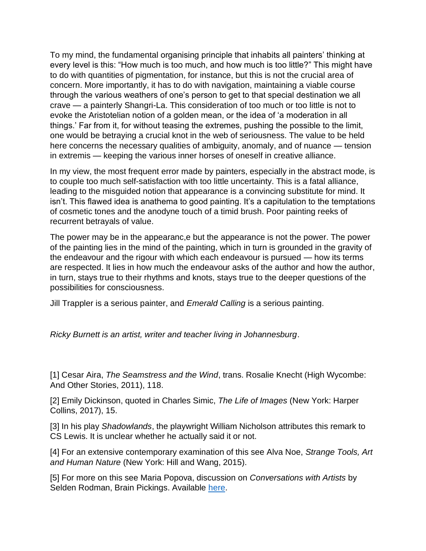To my mind, the fundamental organising principle that inhabits all painters' thinking at every level is this: "How much is too much, and how much is too little?" This might have to do with quantities of pigmentation, for instance, but this is not the crucial area of concern. More importantly, it has to do with navigation, maintaining a viable course through the various weathers of one's person to get to that special destination we all crave — a painterly Shangri-La. This consideration of too much or too little is not to evoke the Aristotelian notion of a golden mean, or the idea of 'a moderation in all things.' Far from it, for without teasing the extremes, pushing the possible to the limit, one would be betraying a crucial knot in the web of seriousness. The value to be held here concerns the necessary qualities of ambiguity, anomaly, and of nuance — tension in extremis — keeping the various inner horses of oneself in creative alliance.

In my view, the most frequent error made by painters, especially in the abstract mode, is to couple too much self-satisfaction with too little uncertainty. This is a fatal alliance, leading to the misguided notion that appearance is a convincing substitute for mind. It isn't. This flawed idea is anathema to good painting. It's a capitulation to the temptations of cosmetic tones and the anodyne touch of a timid brush. Poor painting reeks of recurrent betrayals of value.

The power may be in the appearanc,e but the appearance is not the power. The power of the painting lies in the mind of the painting, which in turn is grounded in the gravity of the endeavour and the rigour with which each endeavour is pursued — how its terms are respected. It lies in how much the endeavour asks of the author and how the author, in turn, stays true to their rhythms and knots, stays true to the deeper questions of the possibilities for consciousness.

Jill Trappler is a serious painter, and *Emerald Calling* is a serious painting.

*Ricky Burnett is an artist, writer and teacher living in Johannesburg*.

[1] Cesar Aira, *The Seamstress and the Wind*, trans. Rosalie Knecht (High Wycombe: And Other Stories, 2011), 118.

[2] Emily Dickinson, quoted in Charles Simic, *The Life of Images* (New York: Harper Collins, 2017), 15.

[3] In his play *Shadowlands*, the playwright William Nicholson attributes this remark to CS Lewis. It is unclear whether he actually said it or not.

[4] For an extensive contemporary examination of this see Alva Noe, *Strange Tools, Art and Human Nature* (New York: Hill and Wang, 2015).

[5] For more on this see Maria Popova, discussion on *Conversations with Artists* by Selden Rodman, Brain Pickings. Available [here.](https://www.brainpickings.org/2013/04/09/jackson-pollock-selden-rodman-conversations-with-artists/)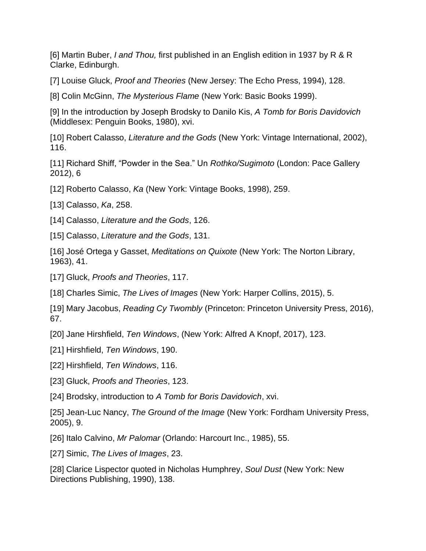[6] Martin Buber, *I and Thou,* first published in an English edition in 1937 by R & R Clarke, Edinburgh.

[7] Louise Gluck, *Proof and Theories* (New Jersey: The Echo Press, 1994), 128.

[8] Colin McGinn, *The Mysterious Flame* (New York: Basic Books 1999).

[9] In the introduction by Joseph Brodsky to Danilo Kis, *A Tomb for Boris Davidovich* (Middlesex: Penguin Books, 1980), xvi.

[10] Robert Calasso, *Literature and the Gods* (New York: Vintage International, 2002), 116.

[11] Richard Shiff, "Powder in the Sea." Un *Rothko/Sugimoto* (London: Pace Gallery 2012), 6

[12] Roberto Calasso, *Ka* (New York: Vintage Books, 1998), 259.

[13] Calasso, *Ka*, 258.

[14] Calasso, *Literature and the Gods*, 126.

[15] Calasso, *Literature and the Gods*, 131.

[16] José Ortega y Gasset, *Meditations on Quixote* (New York: The Norton Library, 1963), 41.

[17] Gluck, *Proofs and Theories*, 117.

[18] Charles Simic, *The Lives of Images* (New York: Harper Collins, 2015), 5.

[19] Mary Jacobus, *Reading Cy Twombly* (Princeton: Princeton University Press, 2016), 67.

[20] Jane Hirshfield, *Ten Windows*, (New York: Alfred A Knopf, 2017), 123.

[21] Hirshfield, *Ten Windows*, 190.

[22] Hirshfield, *Ten Windows*, 116.

[23] Gluck, *Proofs and Theories*, 123.

[24] Brodsky, introduction to *A Tomb for Boris Davidovich*, xvi.

[25] Jean-Luc Nancy, *The Ground of the Image* (New York: Fordham University Press, 2005), 9.

[26] Italo Calvino, *Mr Palomar* (Orlando: Harcourt Inc., 1985), 55.

[27] Simic, *The Lives of Images*, 23.

[28] Clarice Lispector quoted in Nicholas Humphrey, *Soul Dust* (New York: New Directions Publishing, 1990), 138.